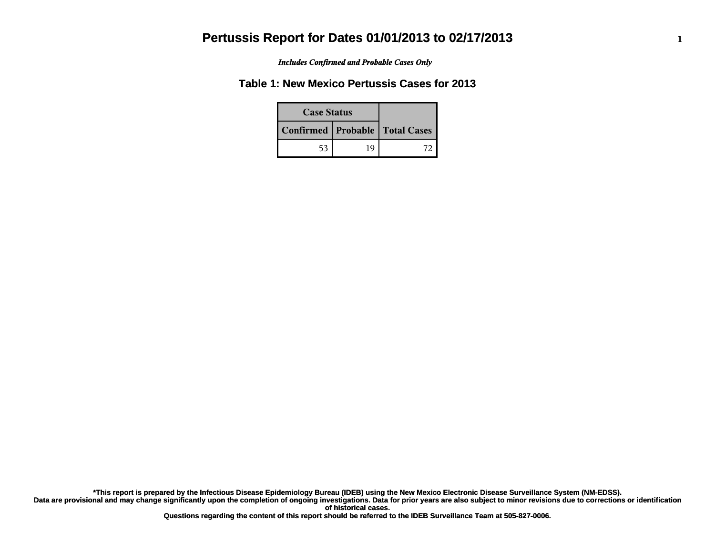*Includes Confirmed and Probable Cases Only*

### **Table 1: New Mexico Pertussis Cases for 2013**

| <b>Case Status</b> |    |                                    |
|--------------------|----|------------------------------------|
|                    |    | Confirmed   Probable   Total Cases |
| 53                 | 19 |                                    |

**Data are provisional and may change significantly upon the completion of ongoing investigations. Data for prior years are also subject to minor revisions due to corrections or identification of historical cases. \*This report is prepared by the Infectious Disease Epidemiology Bureau (IDEB) using the New Mexico Electronic Disease Surveillance System (NM-EDSS).**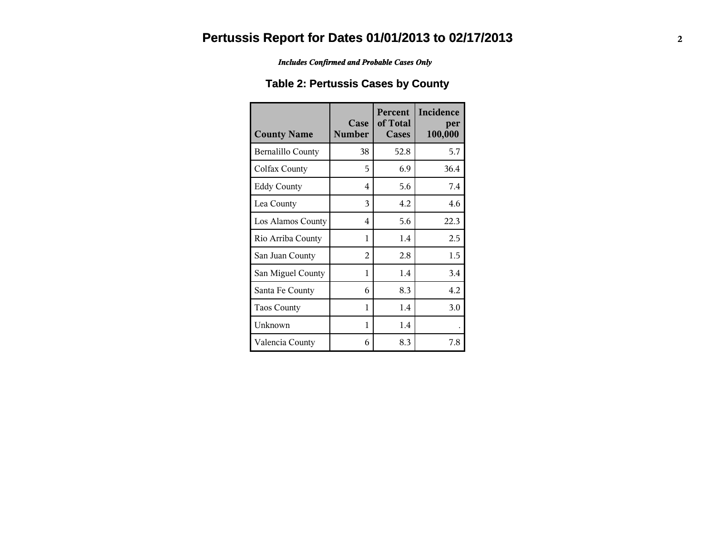*Includes Confirmed and Probable Cases Only*

### **Table 2: Pertussis Cases by County**

| <b>County Name</b> | Case<br><b>Number</b>   | Percent<br>of Total<br>Cases | Incidence<br>per<br>100,000 |
|--------------------|-------------------------|------------------------------|-----------------------------|
| Bernalillo County  | 38                      | 52.8                         | 5.7                         |
| Colfax County      | 5                       | 6.9                          | 36.4                        |
| <b>Eddy County</b> | $\overline{\mathbf{4}}$ | 5.6                          | 7.4                         |
| Lea County         | 3                       | 4.2                          | 4.6                         |
| Los Alamos County  | 4                       | 5.6                          | 22.3                        |
| Rio Arriba County  | 1                       | 1.4                          | 2.5                         |
| San Juan County    | 2                       | 2.8                          | 1.5                         |
| San Miguel County  | 1                       | 1.4                          | 3.4                         |
| Santa Fe County    | 6                       | 8.3                          | 4.2                         |
| <b>Taos County</b> | 1                       | 1.4                          | 3.0                         |
| Unknown            | 1                       | 1.4                          |                             |
| Valencia County    | 6                       | 8.3                          | 7.8                         |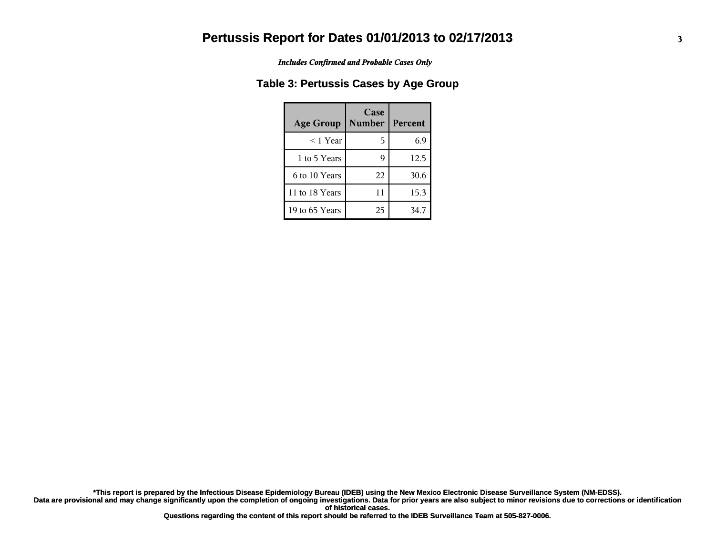*Includes Confirmed and Probable Cases Only*

#### **Table 3: Pertussis Cases by Age Group**

| <b>Age Group</b> | Case<br><b>Number</b> | Percent |
|------------------|-----------------------|---------|
| $<$ 1 Year       | 5                     | 6.9     |
| 1 to 5 Years     |                       | 12.5    |
| 6 to 10 Years    | 22                    | 30.6    |
| 11 to 18 Years   | 11                    | 15.3    |
| 19 to 65 Years   | 25                    | 34.7    |

**Data are provisional and may change significantly upon the completion of ongoing investigations. Data for prior years are also subject to minor revisions due to corrections or identification of historical cases. \*This report is prepared by the Infectious Disease Epidemiology Bureau (IDEB) using the New Mexico Electronic Disease Surveillance System (NM-EDSS).**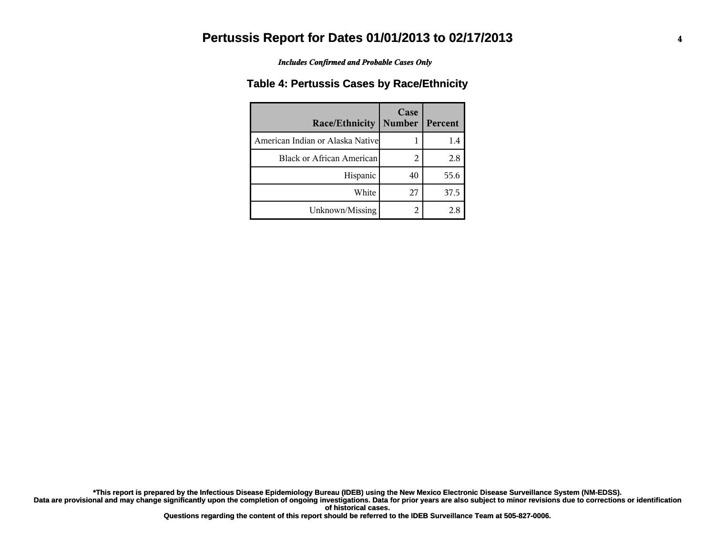*Includes Confirmed and Probable Cases Only*

#### **Table 4: Pertussis Cases by Race/Ethnicity**

| Race/Ethnicity                    | Case<br><b>Number</b> | Percent |
|-----------------------------------|-----------------------|---------|
| American Indian or Alaska Nativel |                       | 1.4     |
| <b>Black or African American</b>  | 2                     | 2.8     |
| Hispanic                          | 40                    | 55.6    |
| White                             | 27                    | 37.5    |
| Unknown/Missing                   | 2                     | 2.8     |

**Data are provisional and may change significantly upon the completion of ongoing investigations. Data for prior years are also subject to minor revisions due to corrections or identification of historical cases. \*This report is prepared by the Infectious Disease Epidemiology Bureau (IDEB) using the New Mexico Electronic Disease Surveillance System (NM-EDSS).**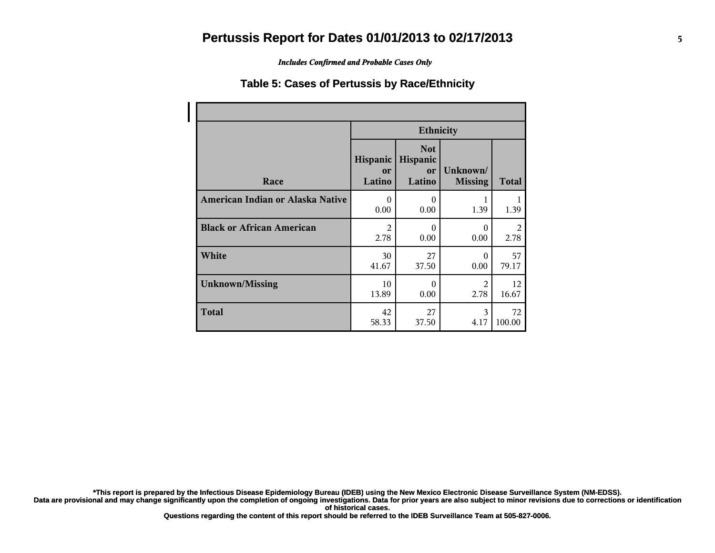*Includes Confirmed and Probable Cases Only*

#### **Table 5: Cases of Pertussis by Race/Ethnicity**

|                                  | <b>Ethnicity</b>         |                                        |                            |              |
|----------------------------------|--------------------------|----------------------------------------|----------------------------|--------------|
| Race                             | Hispanic<br>or<br>Latino | <b>Not</b><br>Hispanic<br>or<br>Latino | Unknown/<br><b>Missing</b> | <b>Total</b> |
| American Indian or Alaska Native | $\Omega$                 | $\theta$                               | 1                          | 1            |
|                                  | 0.00                     | 0.00                                   | 1.39                       | 1.39         |
| <b>Black or African American</b> | $\overline{2}$           | $\theta$                               | $\Omega$                   | 2            |
|                                  | 2.78                     | 0.00                                   | 0.00                       | 2.78         |
| White                            | 30                       | 27                                     | $\Omega$                   | 57           |
|                                  | 41.67                    | 37.50                                  | 0.00                       | 79.17        |
| <b>Unknown/Missing</b>           | 10                       | $\theta$                               | 2                          | 12           |
|                                  | 13.89                    | 0.00                                   | 2.78                       | 16.67        |
| <b>Total</b>                     | 42                       | 27                                     | 3                          | 72           |
|                                  | 58.33                    | 37.50                                  | 4.17                       | 100.00       |

**\*This report is prepared by the Infectious Disease Epidemiology Bureau (IDEB) using the New Mexico Electronic Disease Surveillance System (NM-EDSS).**

**Data are provisional and may change significantly upon the completion of ongoing investigations. Data for prior years are also subject to minor revisions due to corrections or identification of historical cases.**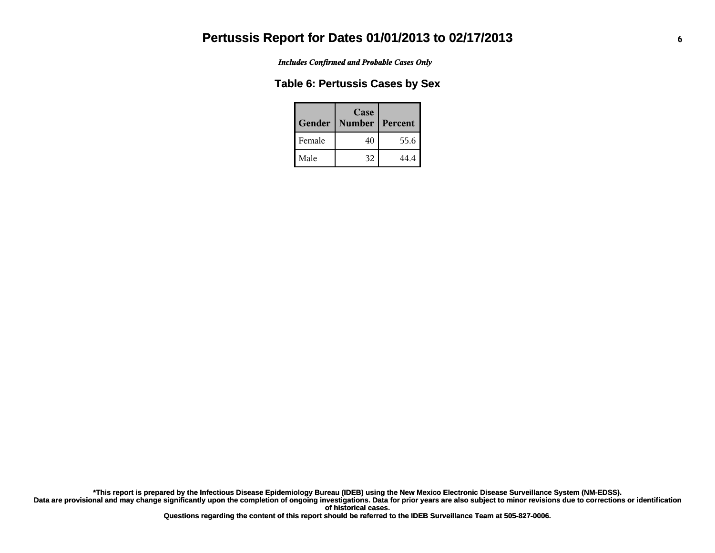*Includes Confirmed and Probable Cases Only*

#### **Table 6: Pertussis Cases by Sex**

| Gender | Case<br><b>Number</b> | Percent |
|--------|-----------------------|---------|
| Female | 40                    | 55.6    |
| Male   | 32                    | 44 4    |

**Data are provisional and may change significantly upon the completion of ongoing investigations. Data for prior years are also subject to minor revisions due to corrections or identification of historical cases. \*This report is prepared by the Infectious Disease Epidemiology Bureau (IDEB) using the New Mexico Electronic Disease Surveillance System (NM-EDSS).**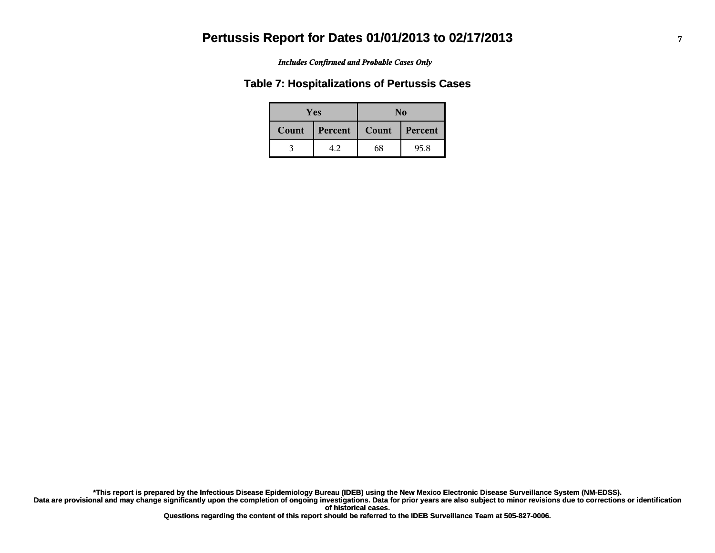#### *Includes Confirmed and Probable Cases Only*

#### **Table 7: Hospitalizations of Pertussis Cases**

| <b>Yes</b> |         | No    |         |  |
|------------|---------|-------|---------|--|
| Count      | Percent | Count | Percent |  |
|            | 4.2     | 68    | 95.8    |  |

**Data are provisional and may change significantly upon the completion of ongoing investigations. Data for prior years are also subject to minor revisions due to corrections or identification of historical cases. \*This report is prepared by the Infectious Disease Epidemiology Bureau (IDEB) using the New Mexico Electronic Disease Surveillance System (NM-EDSS).**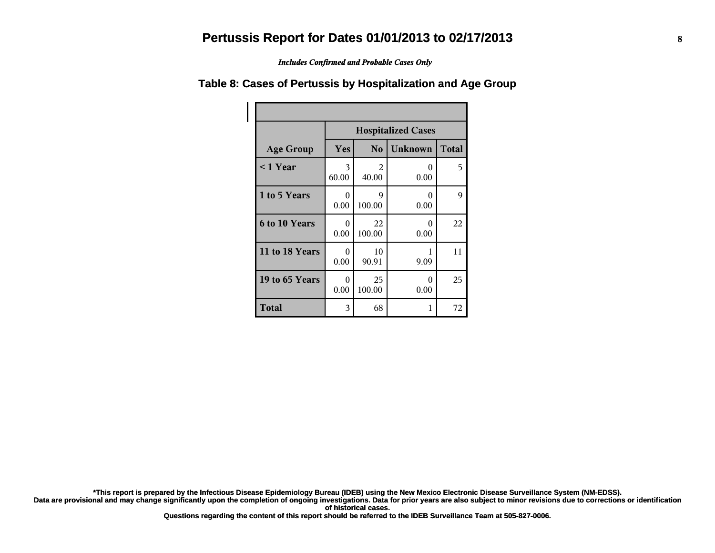*Includes Confirmed and Probable Cases Only*

|                      | <b>Hospitalized Cases</b> |                |                |              |
|----------------------|---------------------------|----------------|----------------|--------------|
| <b>Age Group</b>     | Yes                       | N <sub>0</sub> | <b>Unknown</b> | <b>Total</b> |
| $\leq$ 1 Year        | 3<br>60.00                | 2<br>40.00     | 0<br>0.00      | 5            |
| 1 to 5 Years         | $\Omega$<br>0.00          | 9<br>100.00    | 0<br>0.00      | 9            |
| <b>6 to 10 Years</b> | 0<br>0.00                 | 22<br>100.00   | 0<br>0.00      | 22           |
| 11 to 18 Years       | 0<br>0.00                 | 10<br>90.91    | 9.09           | 11           |
| 19 to 65 Years       | 0<br>0.00                 | 25<br>100.00   | 0<br>0.00      | 25           |
| <b>Total</b>         | 3                         | 68             | 1              | 72           |

#### **Table 8: Cases of Pertussis by Hospitalization and Age Group**

**\*This report is prepared by the Infectious Disease Epidemiology Bureau (IDEB) using the New Mexico Electronic Disease Surveillance System (NM-EDSS).**

**Data are provisional and may change significantly upon the completion of ongoing investigations. Data for prior years are also subject to minor revisions due to corrections or identification of historical cases.**